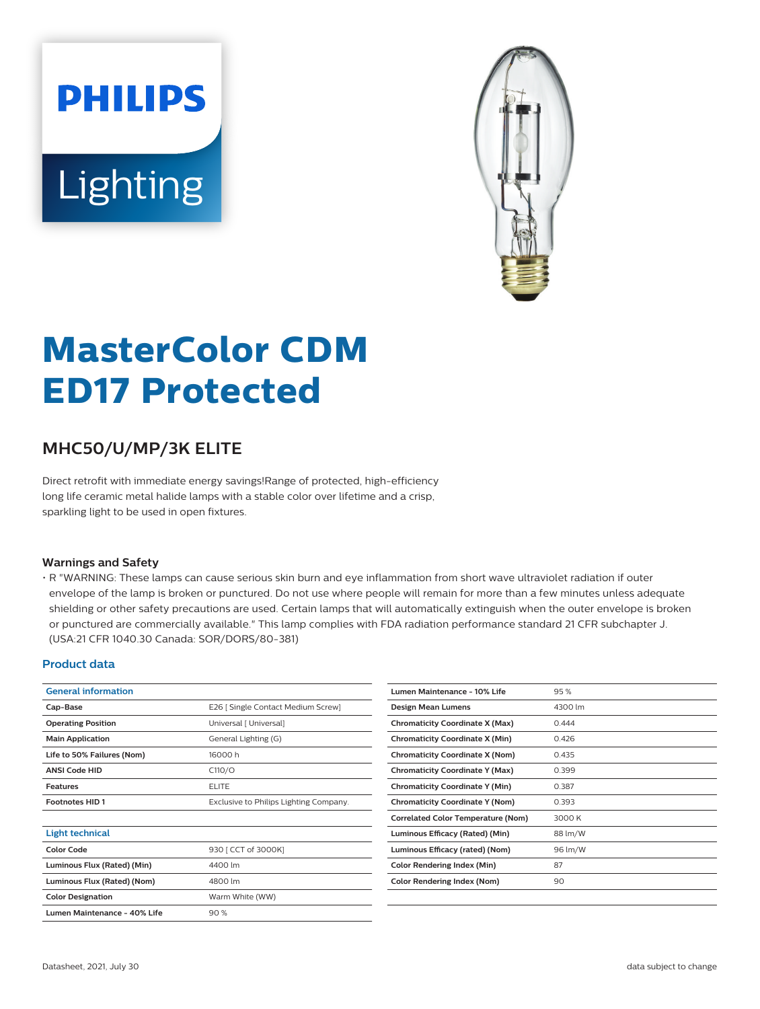# **PHILIPS** Lighting



# **MasterColor CDM ED17 Protected**

# **MHC50/U/MP/3K ELITE**

Direct retrofit with immediate energy savings!Range of protected, high-efficiency long life ceramic metal halide lamps with a stable color over lifetime and a crisp, sparkling light to be used in open fixtures.

#### **Warnings and Safety**

• R "WARNING: These lamps can cause serious skin burn and eye inflammation from short wave ultraviolet radiation if outer envelope of the lamp is broken or punctured. Do not use where people will remain for more than a few minutes unless adequate shielding or other safety precautions are used. Certain lamps that will automatically extinguish when the outer envelope is broken or punctured are commercially available." This lamp complies with FDA radiation performance standard 21 CFR subchapter J. (USA:21 CFR 1040.30 Canada: SOR/DORS/80-381)

#### **Product data**

| <b>General information</b>   |                                        | Lumen Maintenance - 10% Life                    | 95%     |
|------------------------------|----------------------------------------|-------------------------------------------------|---------|
| Cap-Base                     | E26   Single Contact Medium Screw]     | Design Mean Lumens                              | 4300 lm |
| <b>Operating Position</b>    | Universal [ Universal]                 | <b>Chromaticity Coordinate X (Max)</b>          | 0.444   |
| <b>Main Application</b>      | General Lighting (G)                   | <b>Chromaticity Coordinate X (Min)</b><br>0.426 |         |
| Life to 50% Failures (Nom)   | 16000h                                 | <b>Chromaticity Coordinate X (Nom)</b><br>0.435 |         |
| <b>ANSI Code HID</b>         | C110/O                                 | <b>Chromaticity Coordinate Y (Max)</b>          | 0.399   |
| <b>Features</b>              | <b>ELITE</b>                           | <b>Chromaticity Coordinate Y (Min)</b>          | 0.387   |
| <b>Footnotes HID1</b>        | Exclusive to Philips Lighting Company. | <b>Chromaticity Coordinate Y (Nom)</b>          | 0.393   |
|                              |                                        | <b>Correlated Color Temperature (Nom)</b>       | 3000K   |
| <b>Light technical</b>       |                                        | Luminous Efficacy (Rated) (Min)                 | 88 lm/W |
| <b>Color Code</b>            | 930 [ CCT of 3000K]                    | Luminous Efficacy (rated) (Nom)                 | 96 lm/W |
| Luminous Flux (Rated) (Min)  | 4400 lm                                | <b>Color Rendering Index (Min)</b>              | 87      |
| Luminous Flux (Rated) (Nom)  | 4800 lm                                | Color Rendering Index (Nom)                     | 90      |
| <b>Color Designation</b>     | Warm White (WW)                        |                                                 |         |
| Lumen Maintenance - 40% Life | 90%                                    |                                                 |         |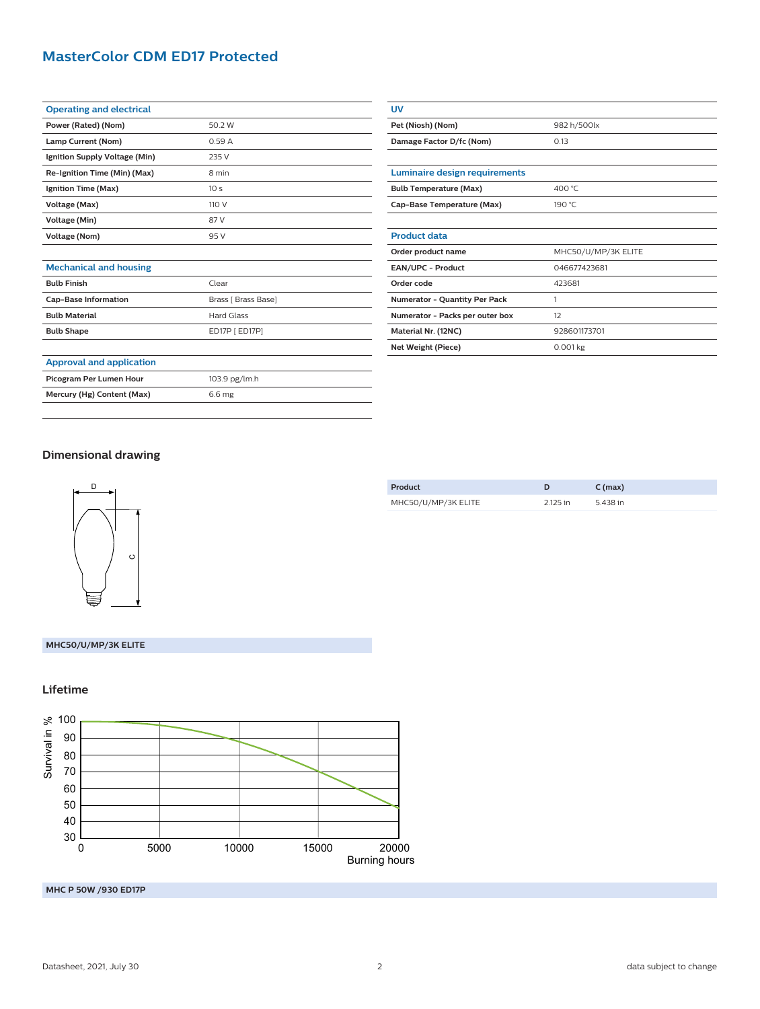# **MasterColor CDM ED17 Protected**

| <b>Operating and electrical</b> |                 |
|---------------------------------|-----------------|
| Power (Rated) (Nom)             | 50.2 W          |
| Lamp Current (Nom)              | 0.59A           |
| Ignition Supply Voltage (Min)   | 235 V           |
| Re-Ignition Time (Min) (Max)    | 8 min           |
| Ignition Time (Max)             | 10 <sub>s</sub> |
| Voltage (Max)                   | 110 V           |
| Voltage (Min)                   | 87 V            |
| Voltage (Nom)                   | 95 V            |
|                                 |                 |

| UV                                   |                     |  |  |  |
|--------------------------------------|---------------------|--|--|--|
| Pet (Niosh) (Nom)                    | 982 h/500lx         |  |  |  |
| Damage Factor D/fc (Nom)             | 0.13                |  |  |  |
|                                      |                     |  |  |  |
| Luminaire design requirements        |                     |  |  |  |
| <b>Bulb Temperature (Max)</b>        | 400 °C              |  |  |  |
| Cap-Base Temperature (Max)           | 190 °C              |  |  |  |
|                                      |                     |  |  |  |
| <b>Product data</b>                  |                     |  |  |  |
| Order product name                   | MHC50/U/MP/3K ELITE |  |  |  |
| <b>EAN/UPC - Product</b>             | 046677423681        |  |  |  |
| Order code                           | 423681              |  |  |  |
| <b>Numerator - Quantity Per Pack</b> | 1                   |  |  |  |
| Numerator - Packs per outer box      | 12                  |  |  |  |
| Material Nr. (12NC)                  | 928601173701        |  |  |  |
| Net Weight (Piece)                   | 0.001 kg            |  |  |  |

# **Dimensional drawing**

**Approval and application**

**Mechanical and housing**

**Bulb Finish** Clear

Cap-Base Information **Brass** [ Brass Base] **Bulb Material Hard Glass Bulb Shape** ED17P [ ED17P]

Picogram Per Lumen Hour 103.9 pg/lm.h **Mercury (Hg) Content (Max)** 6.6 mg



| Product             | D        | $C$ (max) |
|---------------------|----------|-----------|
| MHC50/U/MP/3K ELITE | 2.125 in | 5.438 in  |
|                     |          |           |

#### **MHC50/U/MP/3K ELITE**

#### **Lifetime**



**MHC P 50W /930 ED17P**